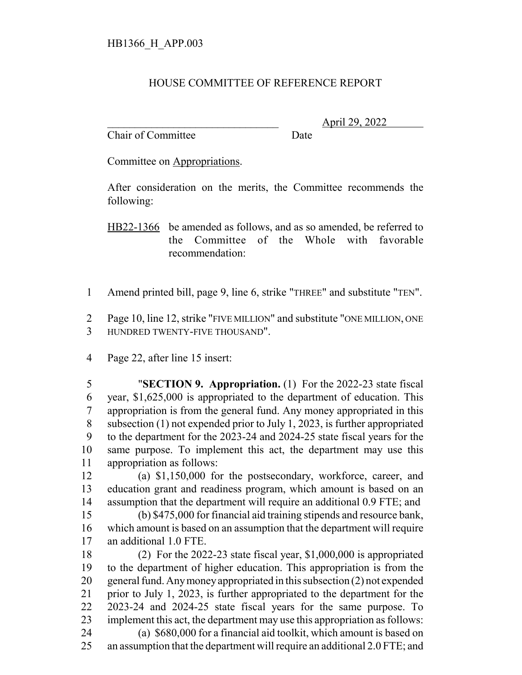## HOUSE COMMITTEE OF REFERENCE REPORT

Chair of Committee Date

\_\_\_\_\_\_\_\_\_\_\_\_\_\_\_\_\_\_\_\_\_\_\_\_\_\_\_\_\_\_\_ April 29, 2022

Committee on Appropriations.

After consideration on the merits, the Committee recommends the following:

HB22-1366 be amended as follows, and as so amended, be referred to the Committee of the Whole with favorable recommendation:

Amend printed bill, page 9, line 6, strike "THREE" and substitute "TEN".

 Page 10, line 12, strike "FIVE MILLION" and substitute "ONE MILLION, ONE HUNDRED TWENTY-FIVE THOUSAND".

Page 22, after line 15 insert:

 "**SECTION 9. Appropriation.** (1) For the 2022-23 state fiscal year, \$1,625,000 is appropriated to the department of education. This appropriation is from the general fund. Any money appropriated in this subsection (1) not expended prior to July 1, 2023, is further appropriated to the department for the 2023-24 and 2024-25 state fiscal years for the same purpose. To implement this act, the department may use this appropriation as follows:

 (a) \$1,150,000 for the postsecondary, workforce, career, and education grant and readiness program, which amount is based on an assumption that the department will require an additional 0.9 FTE; and

 (b) \$475,000 for financial aid training stipends and resource bank, which amount is based on an assumption that the department will require an additional 1.0 FTE.

 (2) For the 2022-23 state fiscal year, \$1,000,000 is appropriated to the department of higher education. This appropriation is from the general fund. Any money appropriated in this subsection (2) not expended prior to July 1, 2023, is further appropriated to the department for the 2023-24 and 2024-25 state fiscal years for the same purpose. To implement this act, the department may use this appropriation as follows: (a) \$680,000 for a financial aid toolkit, which amount is based on an assumption that the department will require an additional 2.0 FTE; and